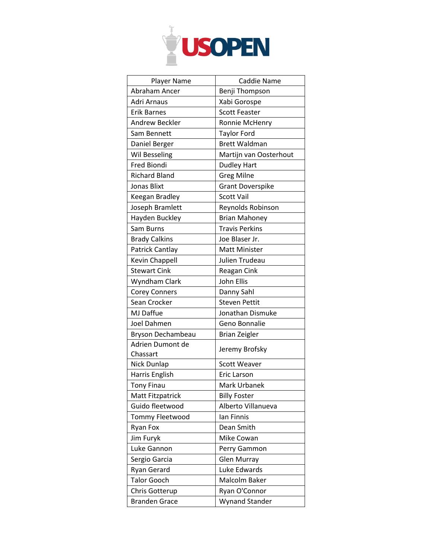

| Player Name                  | Caddie Name             |
|------------------------------|-------------------------|
| Abraham Ancer                | Benji Thompson          |
| Adri Arnaus                  | Xabi Gorospe            |
| <b>Erik Barnes</b>           | <b>Scott Feaster</b>    |
| Andrew Beckler               | Ronnie McHenry          |
| Sam Bennett                  | <b>Taylor Ford</b>      |
| Daniel Berger                | <b>Brett Waldman</b>    |
| Wil Besseling                | Martijn van Oosterhout  |
| Fred Biondi                  | <b>Dudley Hart</b>      |
| <b>Richard Bland</b>         | <b>Greg Milne</b>       |
| Jonas Blixt                  | <b>Grant Doverspike</b> |
| Keegan Bradley               | <b>Scott Vail</b>       |
| Joseph Bramlett              | Reynolds Robinson       |
| Hayden Buckley               | <b>Brian Mahoney</b>    |
| Sam Burns                    | <b>Travis Perkins</b>   |
| <b>Brady Calkins</b>         | Joe Blaser Jr.          |
| Patrick Cantlay              | Matt Minister           |
| Kevin Chappell               | Julien Trudeau          |
| <b>Stewart Cink</b>          | <b>Reagan Cink</b>      |
| Wyndham Clark                | John Ellis              |
| <b>Corey Conners</b>         | Danny Sahl              |
| Sean Crocker                 | <b>Steven Pettit</b>    |
| MJ Daffue                    | Jonathan Dismuke        |
| Joel Dahmen                  | Geno Bonnalie           |
| Bryson Dechambeau            | <b>Brian Zeigler</b>    |
| Adrien Dumont de<br>Chassart | Jeremy Brofsky          |
| Nick Dunlap                  | <b>Scott Weaver</b>     |
| Harris English               | Eric Larson             |
| <b>Tony Finau</b>            | Mark Urbanek            |
| <b>Matt Fitzpatrick</b>      | <b>Billy Foster</b>     |
| Guido fleetwood              | Alberto Villanueva      |
| <b>Tommy Fleetwood</b>       | lan Finnis              |
| <b>Ryan Fox</b>              | Dean Smith              |
| Jim Furyk                    | Mike Cowan              |
| Luke Gannon                  | Perry Gammon            |
| Sergio Garcia                | <b>Glen Murray</b>      |
| Ryan Gerard                  | Luke Edwards            |
| <b>Talor Gooch</b>           | Malcolm Baker           |
| Chris Gotterup               | Ryan O'Connor           |
| <b>Branden Grace</b>         | Wynand Stander          |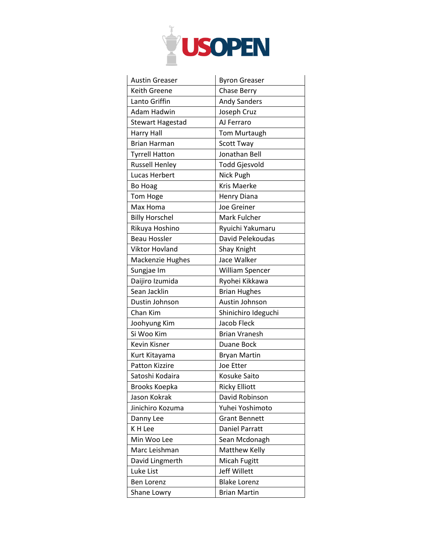

| <b>Austin Greaser</b>   | <b>Byron Greaser</b>  |
|-------------------------|-----------------------|
| Keith Greene            | <b>Chase Berry</b>    |
| Lanto Griffin           | <b>Andy Sanders</b>   |
| Adam Hadwin             | Joseph Cruz           |
| <b>Stewart Hagestad</b> | AJ Ferraro            |
| <b>Harry Hall</b>       | <b>Tom Murtaugh</b>   |
| <b>Brian Harman</b>     | <b>Scott Tway</b>     |
| <b>Tyrrell Hatton</b>   | Jonathan Bell         |
| <b>Russell Henley</b>   | Todd Gjesvold         |
| Lucas Herbert           | Nick Pugh             |
| Bo Hoag                 | <b>Kris Maerke</b>    |
| <b>Tom Hoge</b>         | <b>Henry Diana</b>    |
| Max Homa                | <b>Joe Greiner</b>    |
| <b>Billy Horschel</b>   | Mark Fulcher          |
| Rikuya Hoshino          | Ryuichi Yakumaru      |
| <b>Beau Hossler</b>     | David Pelekoudas      |
| Viktor Hovland          | Shay Knight           |
| <b>Mackenzie Hughes</b> | Jace Walker           |
| Sungjae Im              | William Spencer       |
| Daijiro Izumida         | Ryohei Kikkawa        |
| Sean Jacklin            | <b>Brian Hughes</b>   |
| Dustin Johnson          | Austin Johnson        |
| Chan Kim                | Shinichiro Ideguchi   |
| Joohyung Kim            | Jacob Fleck           |
| Si Woo Kim              | <b>Brian Vranesh</b>  |
| Kevin Kisner            | Duane Bock            |
| Kurt Kitayama           | <b>Bryan Martin</b>   |
| <b>Patton Kizzire</b>   | Joe Etter             |
| Satoshi Kodaira         | Kosuke Saito          |
| <b>Brooks Koepka</b>    | <b>Ricky Elliott</b>  |
| Jason Kokrak            | David Robinson        |
| Jinichiro Kozuma        | Yuhei Yoshimoto       |
| Danny Lee               | <b>Grant Bennett</b>  |
| K H Lee                 | <b>Daniel Parratt</b> |
| Min Woo Lee             | Sean Mcdonagh         |
| Marc Leishman           | Matthew Kelly         |
| David Lingmerth         | Micah Fugitt          |
| Luke List               | Jeff Willett          |
| <b>Ben Lorenz</b>       | <b>Blake Lorenz</b>   |
| Shane Lowry             | <b>Brian Martin</b>   |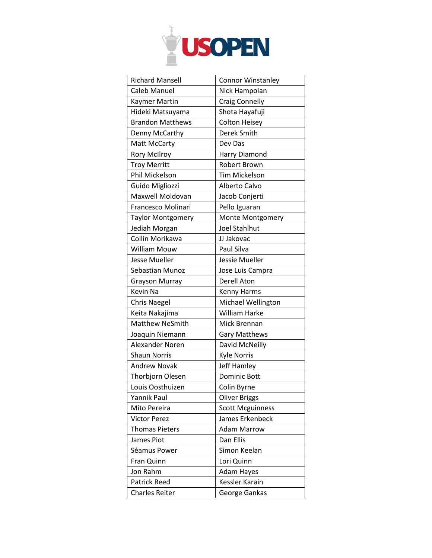

| <b>Richard Mansell</b>   | <b>Connor Winstanley</b> |
|--------------------------|--------------------------|
| <b>Caleb Manuel</b>      | Nick Hampoian            |
| <b>Kaymer Martin</b>     | <b>Craig Connelly</b>    |
| Hideki Matsuyama         | Shota Hayafuji           |
| <b>Brandon Matthews</b>  | <b>Colton Heisey</b>     |
| Denny McCarthy           | Derek Smith              |
| Matt McCarty             | Dev Das                  |
| <b>Rory McIlroy</b>      | Harry Diamond            |
| <b>Troy Merritt</b>      | <b>Robert Brown</b>      |
| Phil Mickelson           | <b>Tim Mickelson</b>     |
| Guido Migliozzi          | Alberto Calvo            |
| Maxwell Moldovan         | Jacob Conjerti           |
| Francesco Molinari       | Pello Iguaran            |
| <b>Taylor Montgomery</b> | Monte Montgomery         |
| Jediah Morgan            | <b>Joel Stahlhut</b>     |
| Collin Morikawa          | JJ Jakovac               |
| William Mouw             | Paul Silva               |
| <b>Jesse Mueller</b>     | Jessie Mueller           |
| Sebastian Munoz          | Jose Luis Campra         |
| <b>Grayson Murray</b>    | Derell Aton              |
|                          |                          |
| Kevin Na                 | Kenny Harms              |
| <b>Chris Naegel</b>      | Michael Wellington       |
| Keita Nakajima           | <b>William Harke</b>     |
| <b>Matthew NeSmith</b>   | Mick Brennan             |
| Joaquin Niemann          | <b>Gary Matthews</b>     |
| Alexander Noren          | David McNeilly           |
| <b>Shaun Norris</b>      | <b>Kyle Norris</b>       |
| <b>Andrew Novak</b>      | <b>Jeff Hamley</b>       |
| Thorbjorn Olesen         | <b>Dominic Bott</b>      |
| Louis Oosthuizen         | Colin Byrne              |
| <b>Yannik Paul</b>       | <b>Oliver Briggs</b>     |
| Mito Pereira             | <b>Scott Mcguinness</b>  |
| <b>Victor Perez</b>      | James Erkenbeck          |
| <b>Thomas Pieters</b>    | <b>Adam Marrow</b>       |
| James Piot               | Dan Ellis                |
| Séamus Power             | Simon Keelan             |
| Fran Quinn               | Lori Quinn               |
| Jon Rahm                 | Adam Hayes               |
| <b>Patrick Reed</b>      | <b>Kessler Karain</b>    |